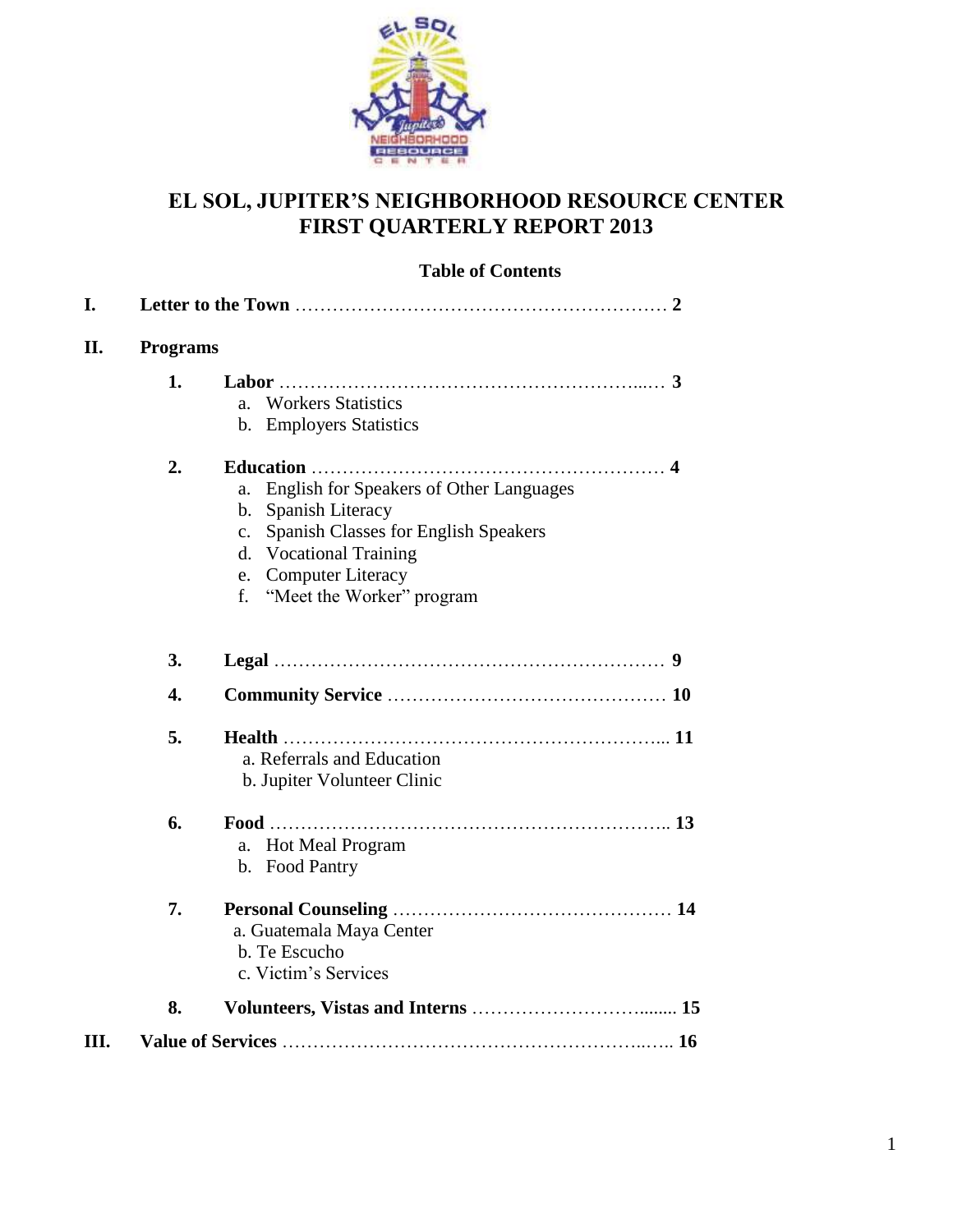

### **EL SOL, JUPITER'S NEIGHBORHOOD RESOURCE CENTER FIRST QUARTERLY REPORT 2013**

#### **Table of Contents**

| Ш. |          |                                                                                                                                                                                                                                                                                                                                  |  |  |  |
|----|----------|----------------------------------------------------------------------------------------------------------------------------------------------------------------------------------------------------------------------------------------------------------------------------------------------------------------------------------|--|--|--|
|    | 8.       | b. Te Escucho<br>c. Victim's Services                                                                                                                                                                                                                                                                                            |  |  |  |
|    | 7.       | a. Guatemala Maya Center                                                                                                                                                                                                                                                                                                         |  |  |  |
|    | 6.       | <b>Hot Meal Program</b><br>a.<br>b. Food Pantry                                                                                                                                                                                                                                                                                  |  |  |  |
|    | 5.       | a. Referrals and Education<br>b. Jupiter Volunteer Clinic                                                                                                                                                                                                                                                                        |  |  |  |
|    | 4.       |                                                                                                                                                                                                                                                                                                                                  |  |  |  |
|    | 3.       |                                                                                                                                                                                                                                                                                                                                  |  |  |  |
|    | 1.<br>2. | <b>Workers Statistics</b><br>a <sub>z</sub><br>b. Employers Statistics<br>English for Speakers of Other Languages<br>a.<br>Spanish Literacy<br>b.<br>Spanish Classes for English Speakers<br>$\mathbf{c}$ .<br><b>Vocational Training</b><br>$\mathbf{d}$ .<br><b>Computer Literacy</b><br>e.<br>"Meet the Worker" program<br>f. |  |  |  |
| П. |          | <b>Programs</b>                                                                                                                                                                                                                                                                                                                  |  |  |  |
| I. |          |                                                                                                                                                                                                                                                                                                                                  |  |  |  |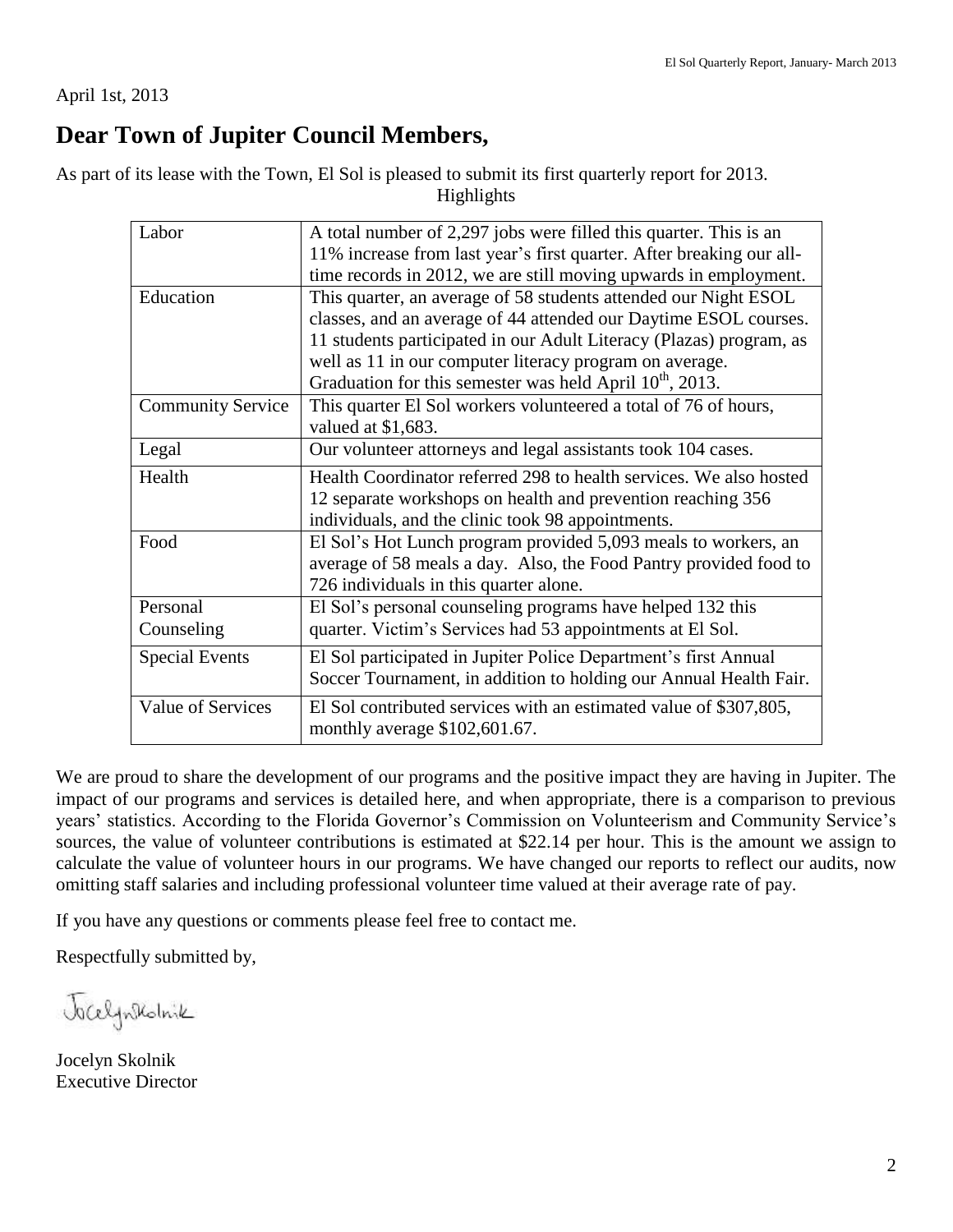April 1st, 2013

## **Dear Town of Jupiter Council Members,**

As part of its lease with the Town, El Sol is pleased to submit its first quarterly report for 2013. Highlights

| Labor                    | A total number of 2,297 jobs were filled this quarter. This is an                                  |  |  |
|--------------------------|----------------------------------------------------------------------------------------------------|--|--|
|                          | 11% increase from last year's first quarter. After breaking our all-                               |  |  |
|                          | time records in 2012, we are still moving upwards in employment.                                   |  |  |
| Education                | This quarter, an average of 58 students attended our Night ESOL                                    |  |  |
|                          | classes, and an average of 44 attended our Daytime ESOL courses.                                   |  |  |
|                          | 11 students participated in our Adult Literacy (Plazas) program, as                                |  |  |
|                          | well as 11 in our computer literacy program on average.                                            |  |  |
|                          | Graduation for this semester was held April $10^{th}$ , 2013.                                      |  |  |
| <b>Community Service</b> | This quarter El Sol workers volunteered a total of 76 of hours,                                    |  |  |
|                          | valued at \$1,683.                                                                                 |  |  |
| Legal                    | Our volunteer attorneys and legal assistants took 104 cases.                                       |  |  |
| Health                   | Health Coordinator referred 298 to health services. We also hosted                                 |  |  |
|                          | 12 separate workshops on health and prevention reaching 356                                        |  |  |
|                          | individuals, and the clinic took 98 appointments.                                                  |  |  |
| Food                     | El Sol's Hot Lunch program provided 5,093 meals to workers, an                                     |  |  |
|                          | average of 58 meals a day. Also, the Food Pantry provided food to                                  |  |  |
|                          | 726 individuals in this quarter alone.                                                             |  |  |
| Personal                 | El Sol's personal counseling programs have helped 132 this                                         |  |  |
| Counseling               | quarter. Victim's Services had 53 appointments at El Sol.                                          |  |  |
| <b>Special Events</b>    | El Sol participated in Jupiter Police Department's first Annual                                    |  |  |
|                          | Soccer Tournament, in addition to holding our Annual Health Fair.                                  |  |  |
| <b>Value of Services</b> | El Sol contributed services with an estimated value of \$307,805,<br>monthly average \$102,601.67. |  |  |

We are proud to share the development of our programs and the positive impact they are having in Jupiter. The impact of our programs and services is detailed here, and when appropriate, there is a comparison to previous years' statistics. According to the Florida Governor's Commission on Volunteerism and Community Service's sources, the value of volunteer contributions is estimated at \$22.14 per hour. This is the amount we assign to calculate the value of volunteer hours in our programs. We have changed our reports to reflect our audits, now omitting staff salaries and including professional volunteer time valued at their average rate of pay.

If you have any questions or comments please feel free to contact me.

Respectfully submitted by,

Jackynstolnik

Jocelyn Skolnik Executive Director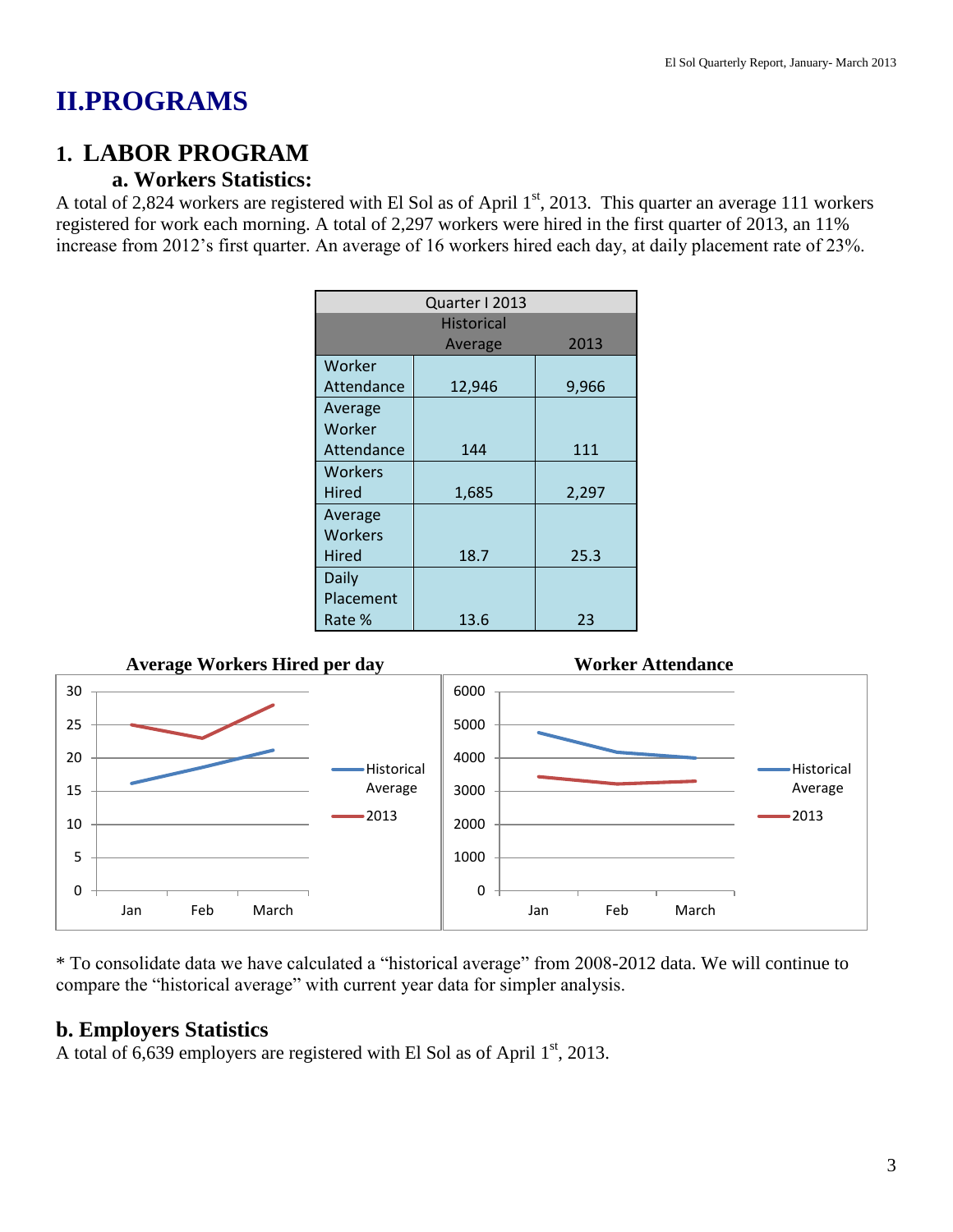## **II.PROGRAMS**

## **1. LABOR PROGRAM**

### **a. Workers Statistics:**

A total of 2,824 workers are registered with El Sol as of April  $1<sup>st</sup>$ , 2013. This quarter an average 111 workers registered for work each morning. A total of 2,297 workers were hired in the first quarter of 2013, an 11% increase from 2012's first quarter. An average of 16 workers hired each day, at daily placement rate of 23%.

| Quarter I 2013 |                   |       |  |  |
|----------------|-------------------|-------|--|--|
|                | <b>Historical</b> |       |  |  |
|                | Average           | 2013  |  |  |
| Worker         |                   |       |  |  |
| Attendance     | 12,946            | 9,966 |  |  |
| Average        |                   |       |  |  |
| Worker         |                   |       |  |  |
| Attendance     | 144               | 111   |  |  |
| <b>Workers</b> |                   |       |  |  |
| Hired          | 1,685             | 2,297 |  |  |
| Average        |                   |       |  |  |
| <b>Workers</b> |                   |       |  |  |
| Hired          | 18.7              | 25.3  |  |  |
| Daily          |                   |       |  |  |
| Placement      |                   |       |  |  |
| Rate %         | 13.6              | 23    |  |  |



\* To consolidate data we have calculated a "historical average" from 2008-2012 data. We will continue to compare the "historical average" with current year data for simpler analysis.

### **b. Employers Statistics**

A total of 6,639 employers are registered with El Sol as of April  $1<sup>st</sup>$ , 2013.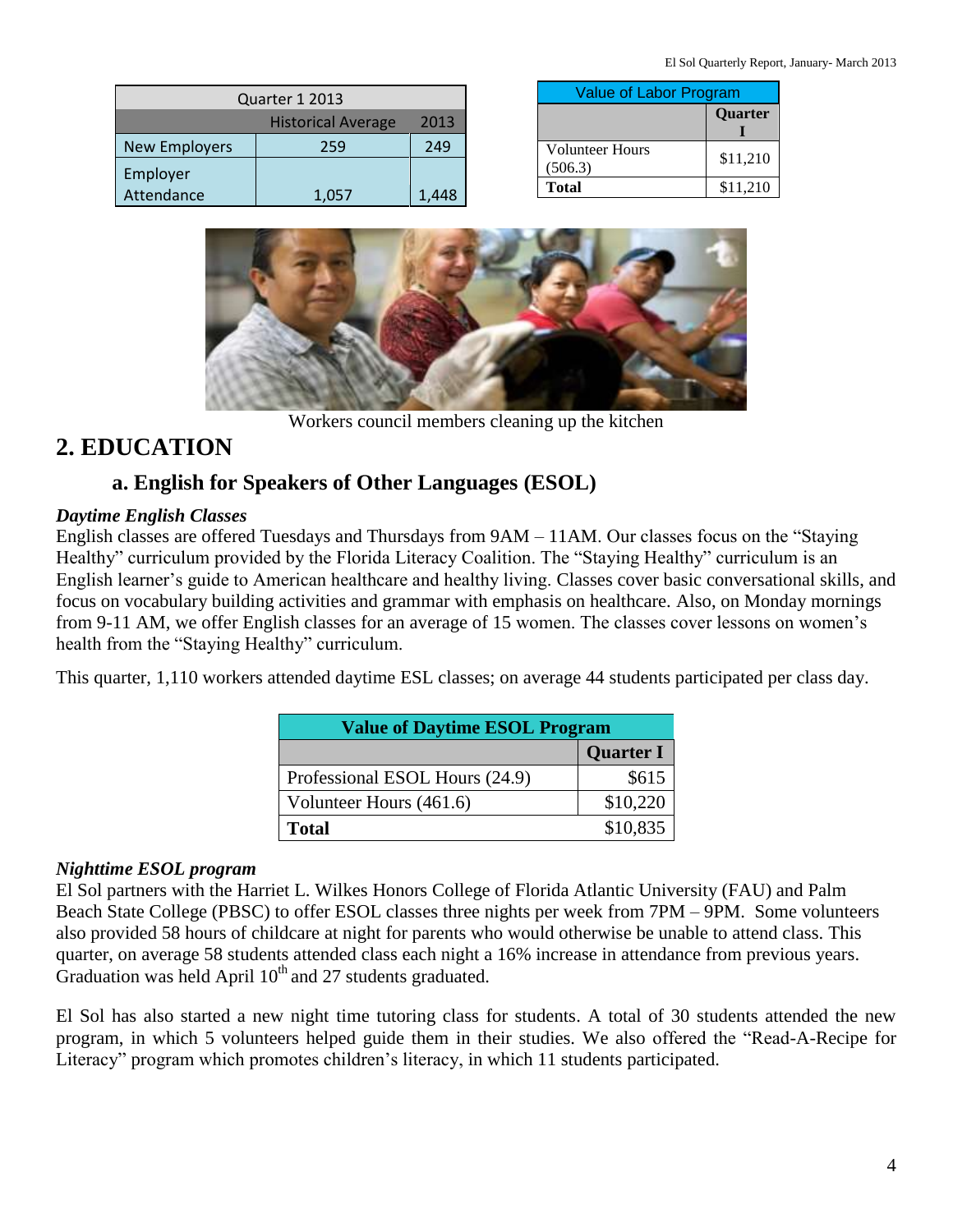| Quarter 1 2013                     |       |       |  |
|------------------------------------|-------|-------|--|
| <b>Historical Average</b><br>2013  |       |       |  |
| <b>New Employers</b><br>249<br>259 |       |       |  |
| Employer                           |       |       |  |
| Attendance                         | 1,057 | 1,448 |  |

| <b>Value of Labor Program</b>     |          |  |
|-----------------------------------|----------|--|
|                                   | Quarter  |  |
| <b>Volunteer Hours</b><br>(506.3) | \$11,210 |  |
| Total                             | \$11,210 |  |



Workers council members cleaning up the kitchen

## **2. EDUCATION**

### **a. English for Speakers of Other Languages (ESOL)**

#### *Daytime English Classes*

English classes are offered Tuesdays and Thursdays from 9AM – 11AM. Our classes focus on the "Staying Healthy" curriculum provided by the Florida Literacy Coalition. The "Staying Healthy" curriculum is an English learner's guide to American healthcare and healthy living. Classes cover basic conversational skills, and focus on vocabulary building activities and grammar with emphasis on healthcare. Also, on Monday mornings from 9-11 AM, we offer English classes for an average of 15 women. The classes cover lessons on women's health from the "Staying Healthy" curriculum.

This quarter, 1,110 workers attended daytime ESL classes; on average 44 students participated per class day.

| <b>Value of Daytime ESOL Program</b> |                  |  |
|--------------------------------------|------------------|--|
|                                      | <b>Quarter I</b> |  |
| Professional ESOL Hours (24.9)       | \$615            |  |
| Volunteer Hours (461.6)              | \$10,220         |  |
| <b>Total</b>                         | \$10,835         |  |

#### *Nighttime ESOL program*

El Sol partners with the Harriet L. Wilkes Honors College of Florida Atlantic University (FAU) and Palm Beach State College (PBSC) to offer ESOL classes three nights per week from 7PM – 9PM. Some volunteers also provided 58 hours of childcare at night for parents who would otherwise be unable to attend class. This quarter, on average 58 students attended class each night a 16% increase in attendance from previous years. Graduation was held April  $10<sup>th</sup>$  and 27 students graduated.

El Sol has also started a new night time tutoring class for students. A total of 30 students attended the new program, in which 5 volunteers helped guide them in their studies. We also offered the "Read-A-Recipe for Literacy" program which promotes children's literacy, in which 11 students participated.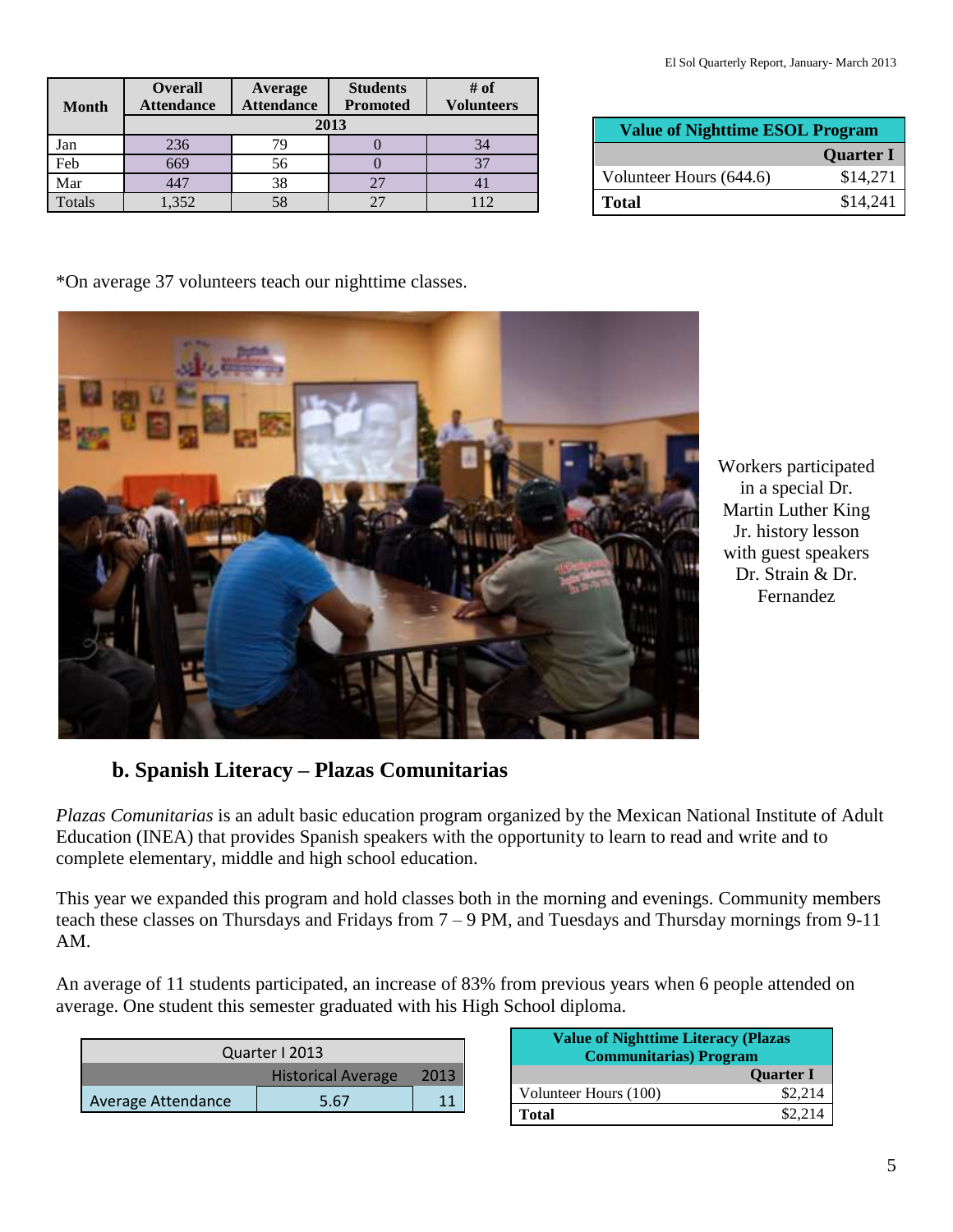| <b>Month</b> | <b>Overall</b><br><b>Attendance</b> | Average<br><b>Attendance</b> | <b>Students</b><br><b>Promoted</b> | $#$ of<br><b>Volunteers</b> |  |
|--------------|-------------------------------------|------------------------------|------------------------------------|-----------------------------|--|
|              | 2013                                |                              |                                    |                             |  |
| Jan          | 236                                 | 79                           |                                    | 34                          |  |
| Feb          | 669                                 | 56                           |                                    | 37                          |  |
| Mar          | 447                                 | 38                           | 27                                 |                             |  |
| Totals       | 1,352                               | 58                           |                                    | 112                         |  |

| <b>Value of Nighttime ESOL Program</b> |                  |
|----------------------------------------|------------------|
|                                        | <b>Quarter I</b> |
| Volunteer Hours (644.6)                | \$14,271         |
| <b>Total</b>                           | \$14,241         |

\*On average 37 volunteers teach our nighttime classes.



Workers participated in a special Dr. Martin Luther King Jr. history lesson with guest speakers Dr. Strain & Dr. Fernandez

### **b. Spanish Literacy – Plazas Comunitarias**

*Plazas Comunitarias* is an adult basic education program organized by the Mexican National Institute of Adult Education (INEA) that provides Spanish speakers with the opportunity to learn to read and write and to complete elementary, middle and high school education.

This year we expanded this program and hold classes both in the morning and evenings. Community members teach these classes on Thursdays and Fridays from 7 – 9 PM, and Tuesdays and Thursday mornings from 9-11 AM.

An average of 11 students participated, an increase of 83% from previous years when 6 people attended on average. One student this semester graduated with his High School diploma.

| Quarter I 2013                    |      |  |  |
|-----------------------------------|------|--|--|
| <b>Historical Average</b><br>2013 |      |  |  |
| Average Attendance                | 5.67 |  |  |

| <b>Value of Nighttime Literacy (Plazas</b><br><b>Communitarias</b> ) Program |                  |
|------------------------------------------------------------------------------|------------------|
|                                                                              | <b>Quarter I</b> |
| Volunteer Hours (100)                                                        | \$2,214          |
| <b>Total</b>                                                                 | \$2.214          |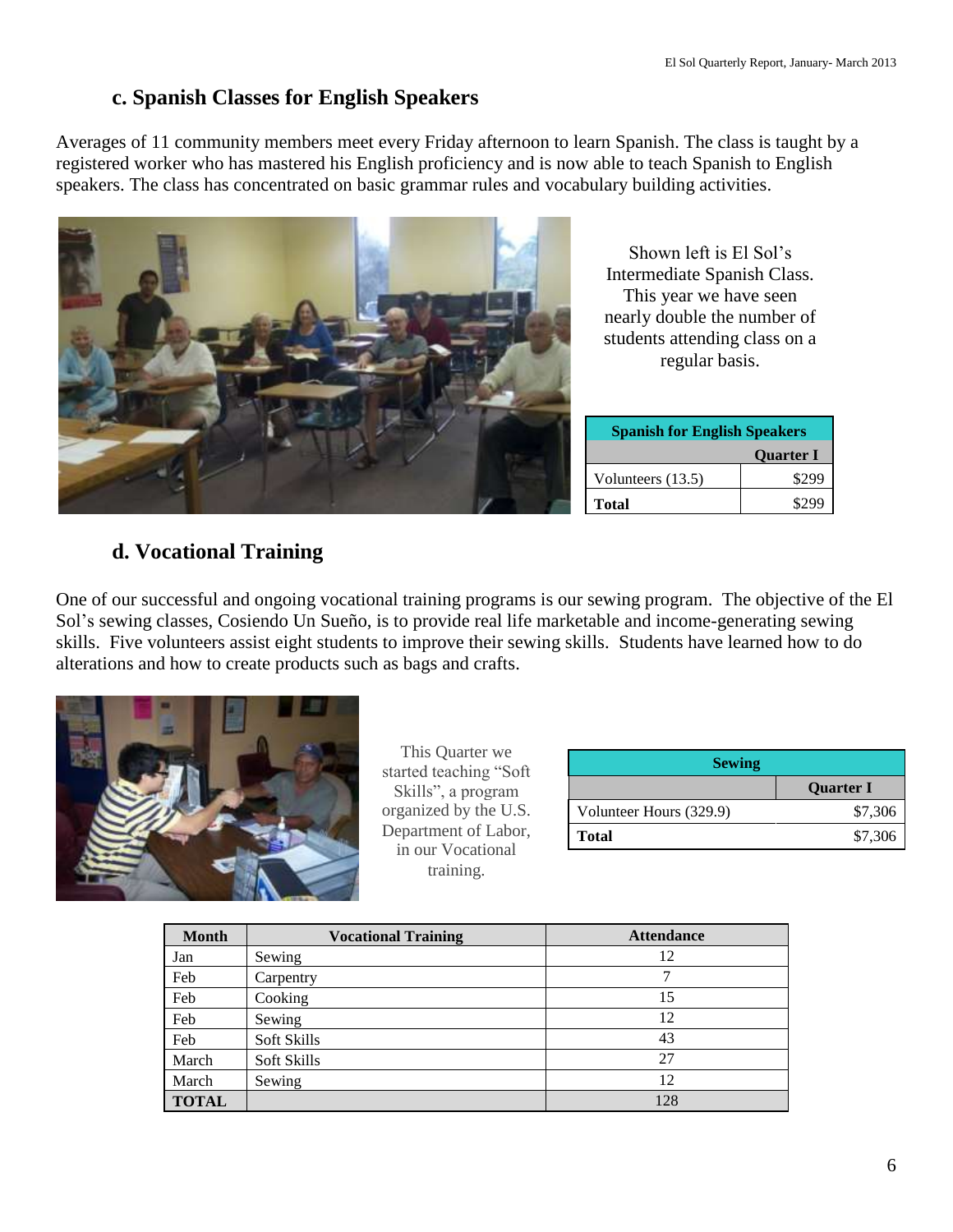### **c. Spanish Classes for English Speakers**

Averages of 11 community members meet every Friday afternoon to learn Spanish. The class is taught by a registered worker who has mastered his English proficiency and is now able to teach Spanish to English speakers. The class has concentrated on basic grammar rules and vocabulary building activities.



Shown left is El Sol's Intermediate Spanish Class. This year we have seen nearly double the number of students attending class on a regular basis.

| <b>Spanish for English Speakers</b> |       |
|-------------------------------------|-------|
| <b>Quarter I</b>                    |       |
| Volunteers (13.5)                   | \$299 |
| <b>Total</b>                        |       |

## **d. Vocational Training**

One of our successful and ongoing vocational training programs is our sewing program. The objective of the El Sol's sewing classes, Cosiendo Un Sueño, is to provide real life marketable and income-generating sewing skills. Five volunteers assist eight students to improve their sewing skills. Students have learned how to do alterations and how to create products such as bags and crafts.



This Quarter we started teaching "Soft Skills", a program organized by the U.S. Department of Labor, in our Vocational training.

| <b>Sewing</b>           |                  |  |
|-------------------------|------------------|--|
|                         | <b>Quarter I</b> |  |
| Volunteer Hours (329.9) | \$7,306          |  |
| <b>Total</b>            | \$7,306          |  |

| <b>Month</b> | <b>Vocational Training</b> | <b>Attendance</b> |
|--------------|----------------------------|-------------------|
| Jan          | Sewing                     | 12                |
| Feb          | Carpentry                  | 7                 |
| Feb          | Cooking                    | 15                |
| Feb          | Sewing                     | 12                |
| Feb          | Soft Skills                | 43                |
| March        | Soft Skills                | 27                |
| March        | Sewing                     | 12                |
| <b>TOTAL</b> |                            | 128               |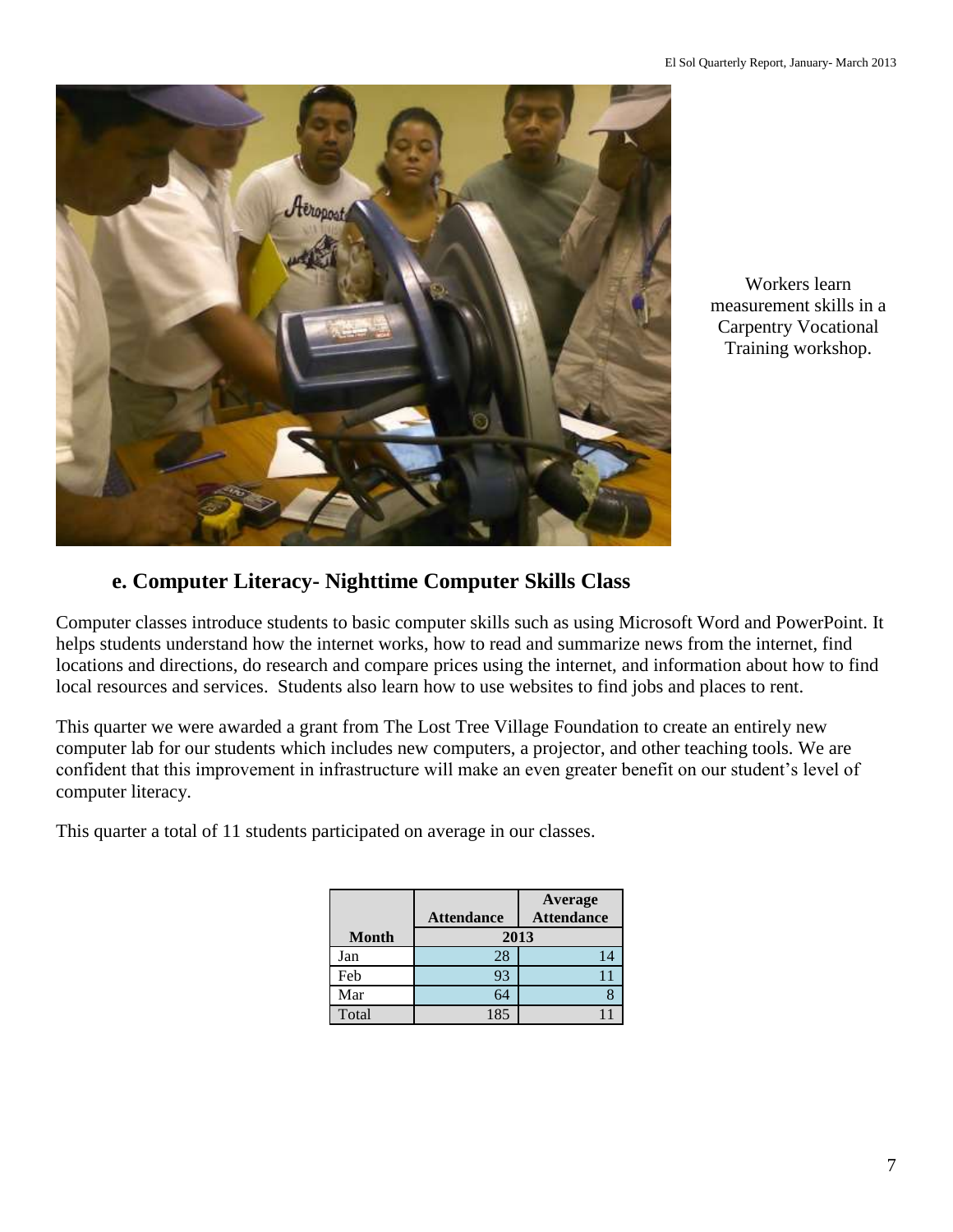

Workers learn measurement skills in a Carpentry Vocational Training workshop.

## **e. Computer Literacy- Nighttime Computer Skills Class**

Computer classes introduce students to basic computer skills such as using Microsoft Word and PowerPoint. It helps students understand how the internet works, how to read and summarize news from the internet, find locations and directions, do research and compare prices using the internet, and information about how to find local resources and services. Students also learn how to use websites to find jobs and places to rent.

This quarter we were awarded a grant from The Lost Tree Village Foundation to create an entirely new computer lab for our students which includes new computers, a projector, and other teaching tools. We are confident that this improvement in infrastructure will make an even greater benefit on our student's level of computer literacy.

This quarter a total of 11 students participated on average in our classes.

|              |                   | Average           |
|--------------|-------------------|-------------------|
|              | <b>Attendance</b> | <b>Attendance</b> |
| <b>Month</b> |                   | 2013              |
| Jan          | 28                | 14                |
| Feb          | 93                |                   |
| Mar          | 64                |                   |
| Total        | 185               |                   |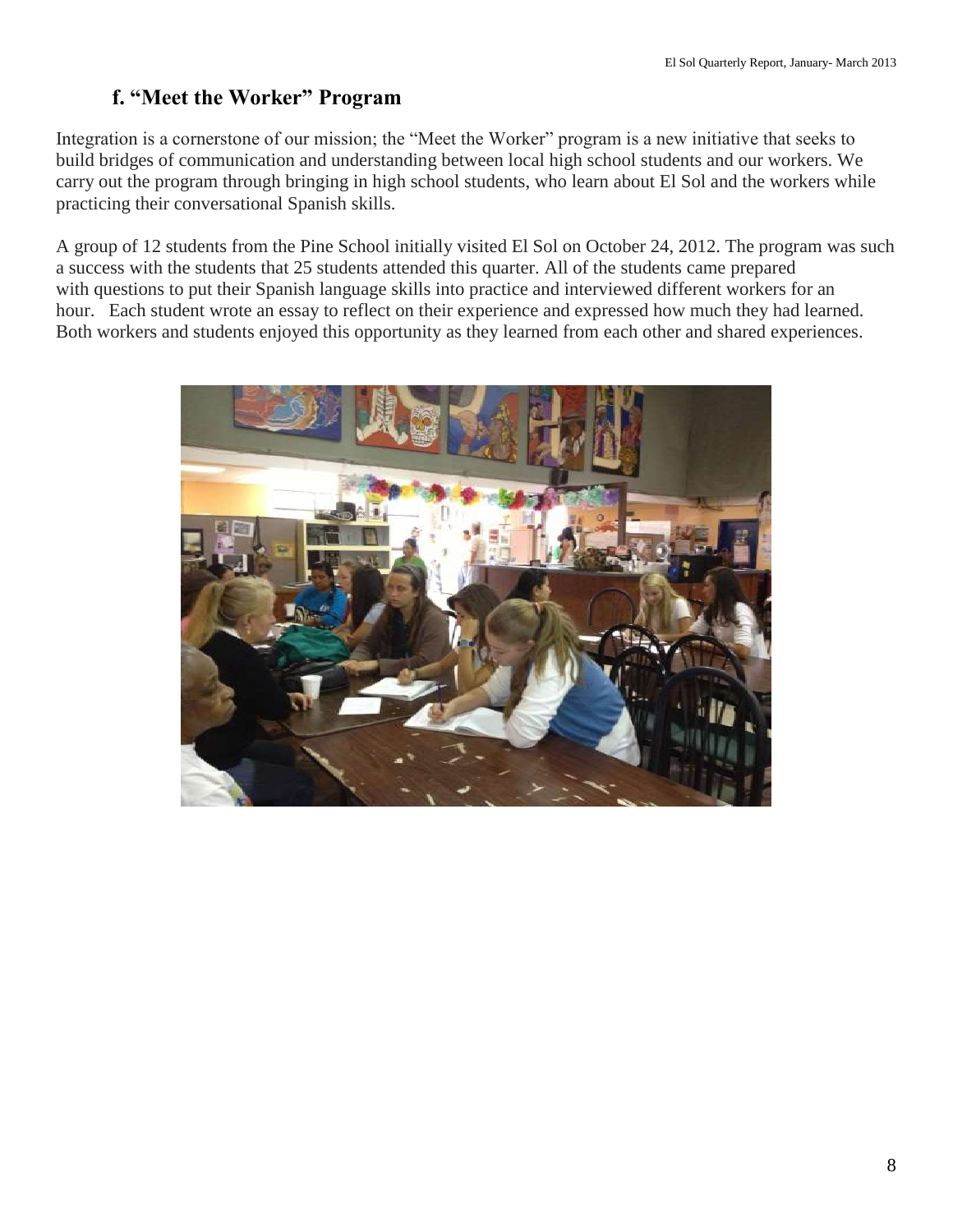## **f. "Meet the Worker" Program**

Integration is a cornerstone of our mission; the "Meet the Worker" program is a new initiative that seeks to build bridges of communication and understanding between local high school students and our workers. We carry out the program through bringing in high school students, who learn about El Sol and the workers while practicing their conversational Spanish skills.

A group of 12 students from the Pine School initially visited El Sol on October 24, 2012. The program was such a success with the students that 25 students attended this quarter. All of the students came prepared with questions to put their Spanish language skills into practice and interviewed different workers for an hour. Each student wrote an essay to reflect on their experience and expressed how much they had learned. Both workers and students enjoyed this opportunity as they learned from each other and shared experiences.

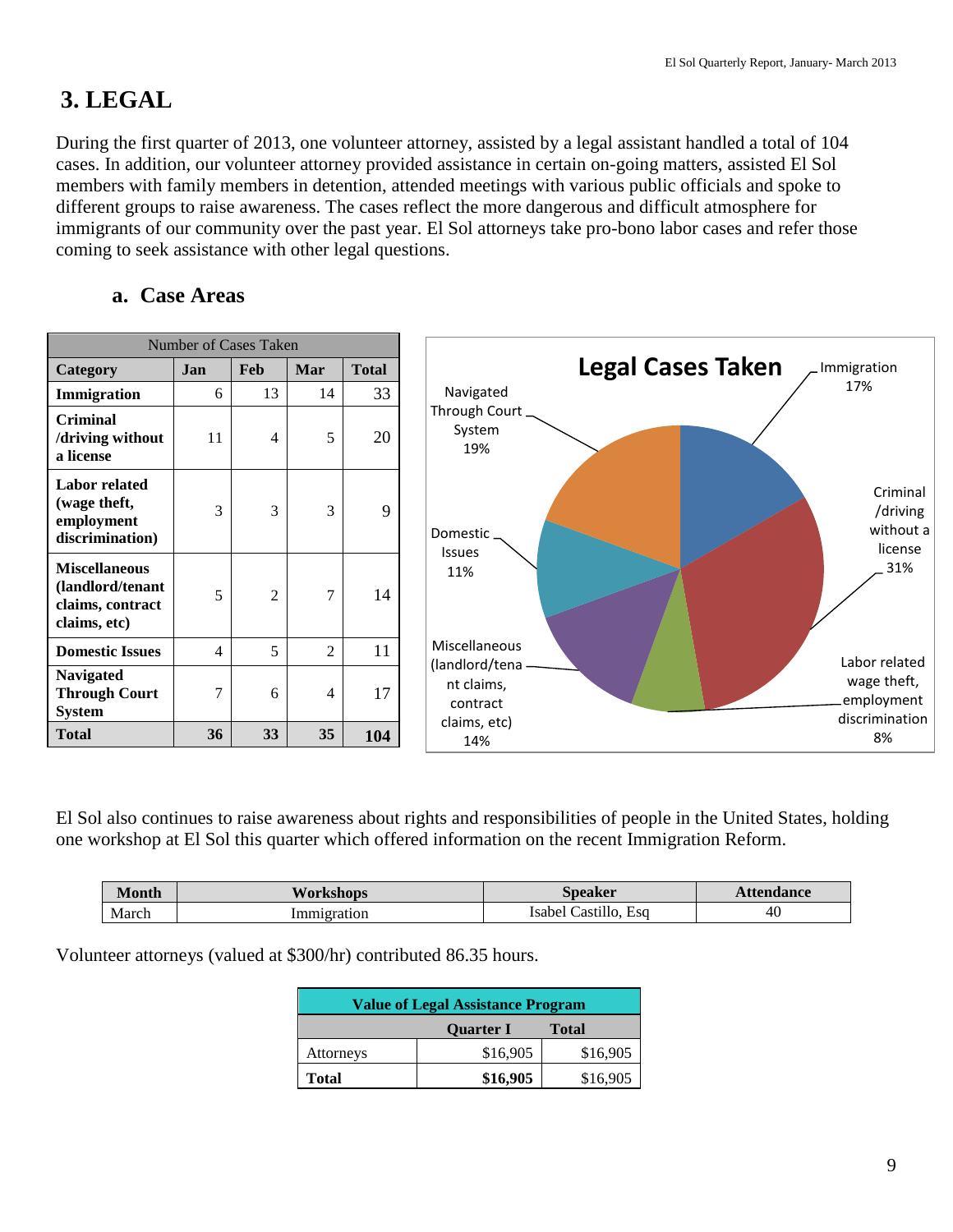## **3. LEGAL**

During the first quarter of 2013, one volunteer attorney, assisted by a legal assistant handled a total of 104 cases. In addition, our volunteer attorney provided assistance in certain on-going matters, assisted El Sol members with family members in detention, attended meetings with various public officials and spoke to different groups to raise awareness. The cases reflect the more dangerous and difficult atmosphere for immigrants of our community over the past year. El Sol attorneys take pro-bono labor cases and refer those coming to seek assistance with other legal questions.

### **a. Case Areas**

|                                                                              | <b>Number of Cases Taken</b> |                |                |              |                                                                                                           |
|------------------------------------------------------------------------------|------------------------------|----------------|----------------|--------------|-----------------------------------------------------------------------------------------------------------|
| Category                                                                     | Jan                          | Feb            | Mar            | <b>Total</b> | <b>Legal Cases Taken</b><br>Immigration                                                                   |
| Immigration                                                                  | 6                            | 13             | 14             | 33           | 17%<br>Navigated                                                                                          |
| <b>Criminal</b><br>/driving without<br>a license                             | 11                           | 4              | 5              | 20           | Through Court.<br>System<br>19%                                                                           |
| <b>Labor related</b><br>(wage theft,<br>employment<br>discrimination)        | 3                            | 3              | 3              | 9            | Criminal<br>/driving<br>without a<br>Domestic.<br>license<br><b>Issues</b>                                |
| <b>Miscellaneous</b><br>(landlord/tenant<br>claims, contract<br>claims, etc) | 5                            | $\overline{2}$ | $\tau$         | 14           | 31%<br>11%                                                                                                |
| <b>Domestic Issues</b>                                                       | 4                            | 5              | $\overline{2}$ | 11           | Miscellaneous<br>Labor related                                                                            |
| <b>Navigated</b><br><b>Through Court</b><br><b>System</b>                    | 7                            | 6              | 4              | 17           | (landlord/tena -<br>wage theft,<br>nt claims,<br>employment<br>contract<br>discrimination<br>claims, etc) |
| <b>Total</b>                                                                 | 36                           | 33             | 35             | 104          | 8%<br>14%                                                                                                 |

El Sol also continues to raise awareness about rights and responsibilities of people in the United States, holding one workshop at El Sol this quarter which offered information on the recent Immigration Reform.

| <b>Month</b>  | <b>TVorkshops</b> | Speaker<br>"UNU.           | ttendance |
|---------------|-------------------|----------------------------|-----------|
| March<br>$-1$ | Immigration       | Esa<br>Castillo.<br>Isabel | 40        |

Volunteer attorneys (valued at \$300/hr) contributed 86.35 hours.

| <b>Value of Legal Assistance Program</b> |          |          |  |  |  |
|------------------------------------------|----------|----------|--|--|--|
| <b>Quarter I</b><br><b>Total</b>         |          |          |  |  |  |
| Attorneys                                | \$16,905 | \$16,905 |  |  |  |
| \$16,905<br>\$16,905<br>Total            |          |          |  |  |  |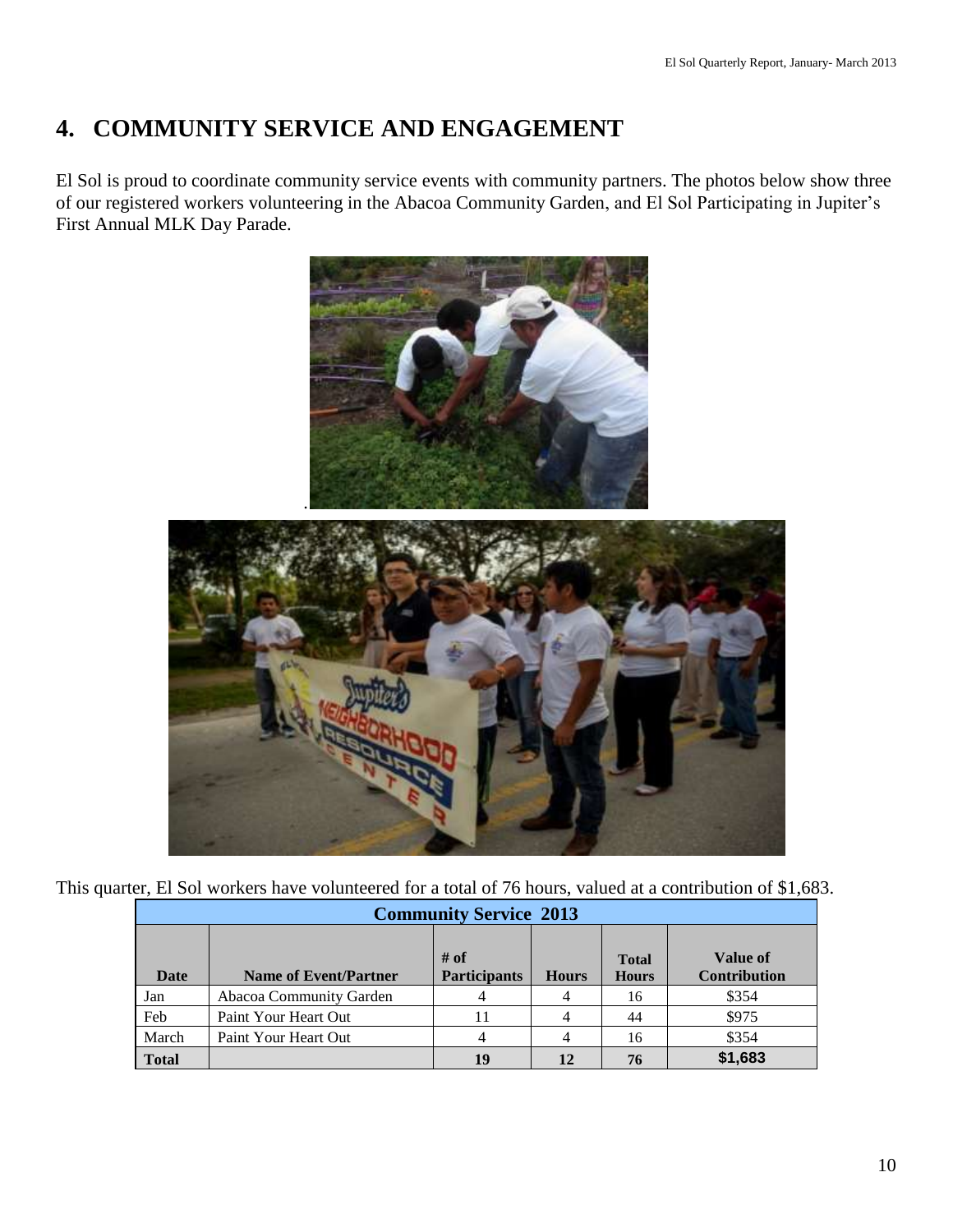## **4. COMMUNITY SERVICE AND ENGAGEMENT**

El Sol is proud to coordinate community service events with community partners. The photos below show three of our registered workers volunteering in the Abacoa Community Garden, and El Sol Participating in Jupiter's First Annual MLK Day Parade.



This quarter, El Sol workers have volunteered for a total of 76 hours, valued at a contribution of \$1,683.

|              | <b>Community Service 2013</b> |                             |              |                              |                                 |  |
|--------------|-------------------------------|-----------------------------|--------------|------------------------------|---------------------------------|--|
| Date         | <b>Name of Event/Partner</b>  | # of<br><b>Participants</b> | <b>Hours</b> | <b>Total</b><br><b>Hours</b> | Value of<br><b>Contribution</b> |  |
| Jan          | Abacoa Community Garden       |                             |              | 16                           | \$354                           |  |
| Feb          | Paint Your Heart Out          | 11                          |              | 44                           | \$975                           |  |
| March        | Paint Your Heart Out          |                             |              | 16                           | \$354                           |  |
| <b>Total</b> |                               | 19                          | 12           | 76                           | \$1,683                         |  |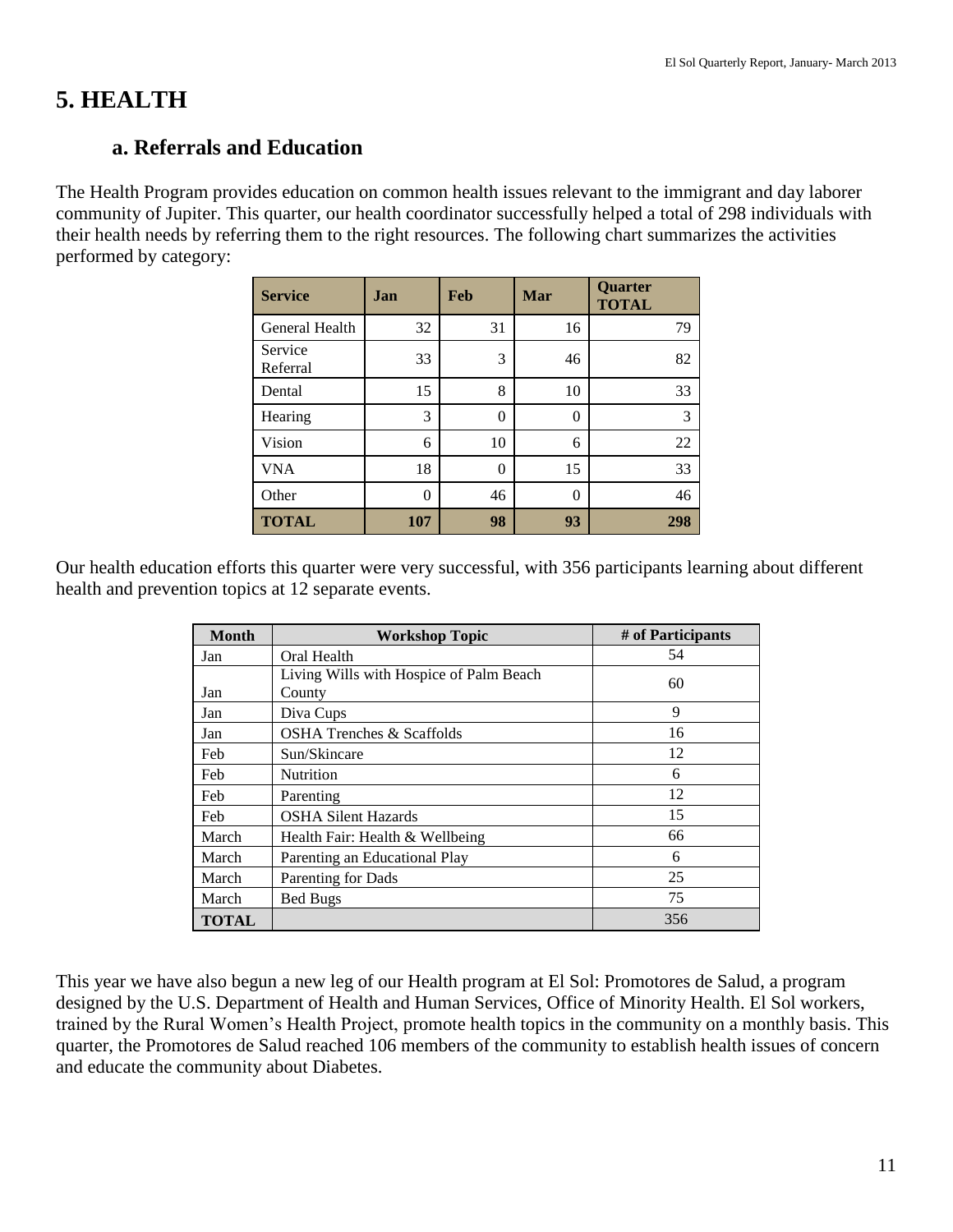## **5. HEALTH**

### **a. Referrals and Education**

The Health Program provides education on common health issues relevant to the immigrant and day laborer community of Jupiter. This quarter, our health coordinator successfully helped a total of 298 individuals with their health needs by referring them to the right resources. The following chart summarizes the activities performed by category:

| <b>Service</b>      | Jan      | <b>Feb</b> | Mar | Quarter<br><b>TOTAL</b> |
|---------------------|----------|------------|-----|-------------------------|
| General Health      | 32       | 31         | 16  | 79                      |
| Service<br>Referral | 33       | 3          | 46  | 82                      |
| Dental              | 15       | 8          | 10  | 33                      |
| Hearing             | 3        | $\theta$   | 0   | 3                       |
| Vision              | 6        | 10         | 6   | 22                      |
| <b>VNA</b>          | 18       | $\theta$   | 15  | 33                      |
| Other               | $\Omega$ | 46         | 0   | 46                      |
| <b>TOTAL</b>        | 107      | 98         | 93  | 298                     |

Our health education efforts this quarter were very successful, with 356 participants learning about different health and prevention topics at 12 separate events.

| <b>Month</b> | <b>Workshop Topic</b>                             | # of Participants |
|--------------|---------------------------------------------------|-------------------|
| Jan          | Oral Health                                       | 54                |
| Jan          | Living Wills with Hospice of Palm Beach<br>County | 60                |
| Jan          | Diva Cups                                         | 9                 |
| Jan          | <b>OSHA Trenches &amp; Scaffolds</b>              | 16                |
| Feb          | Sun/Skincare                                      | 12                |
| Feb          | Nutrition                                         | 6                 |
| Feb          | Parenting                                         | 12                |
| Feb          | <b>OSHA Silent Hazards</b>                        | 15                |
| March        | Health Fair: Health & Wellbeing                   | 66                |
| March        | Parenting an Educational Play                     | 6                 |
| March        | Parenting for Dads                                | 25                |
| March        | Bed Bugs                                          | 75                |
| <b>TOTAL</b> |                                                   | 356               |

This year we have also begun a new leg of our Health program at El Sol: Promotores de Salud, a program designed by the U.S. Department of Health and Human Services, Office of Minority Health. El Sol workers, trained by the Rural Women's Health Project, promote health topics in the community on a monthly basis. This quarter, the Promotores de Salud reached 106 members of the community to establish health issues of concern and educate the community about Diabetes.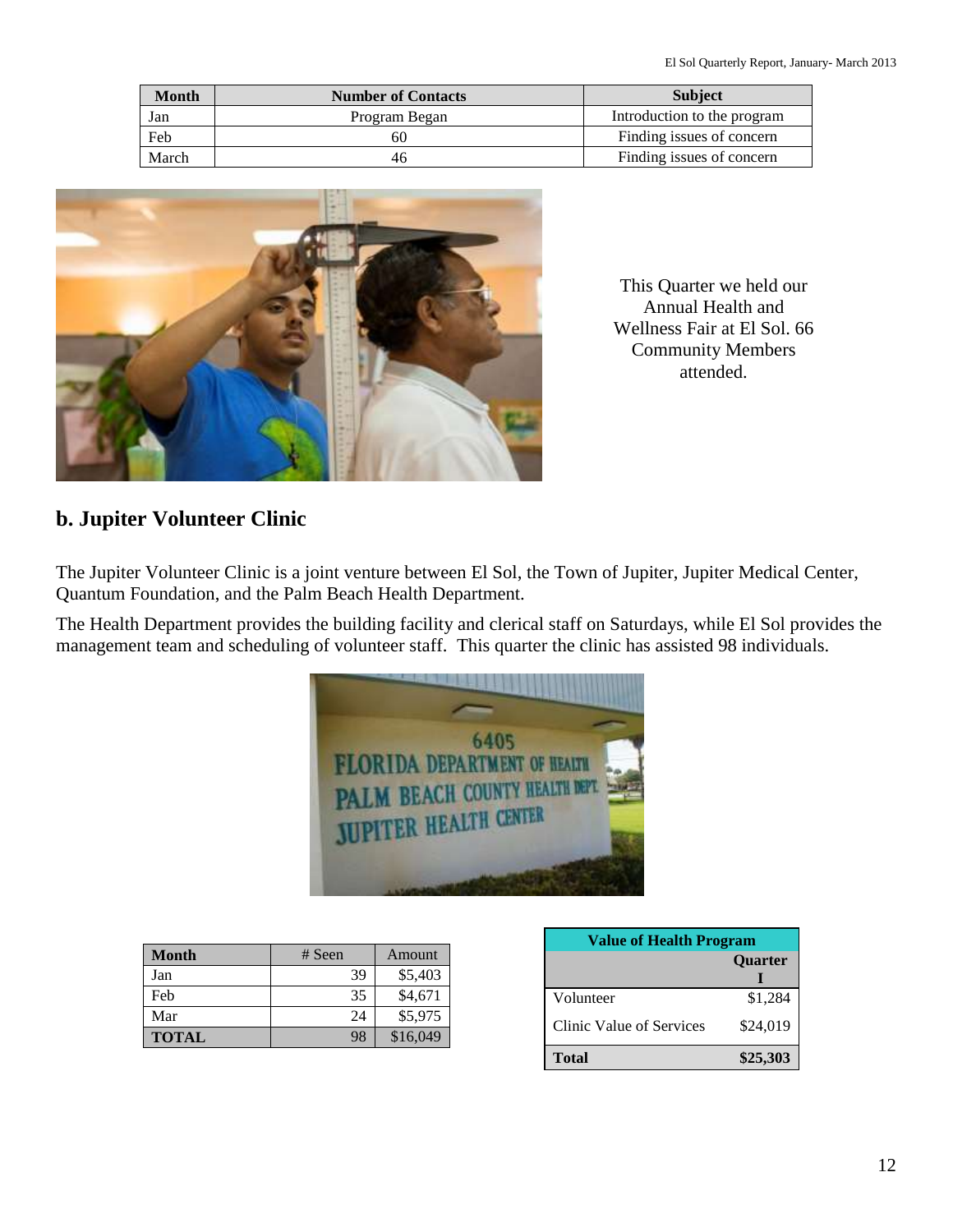| <b>Month</b> | <b>Number of Contacts</b> | <b>Subject</b>              |
|--------------|---------------------------|-----------------------------|
| Jan          | Program Began             | Introduction to the program |
| Feb          | 60                        | Finding issues of concern   |
| March        | 46                        | Finding issues of concern   |



This Quarter we held our Annual Health and Wellness Fair at El Sol. 66 Community Members attended.

### **b. Jupiter Volunteer Clinic**

The Jupiter Volunteer Clinic is a joint venture between El Sol, the Town of Jupiter, Jupiter Medical Center, Quantum Foundation, and the Palm Beach Health Department.

The Health Department provides the building facility and clerical staff on Saturdays, while El Sol provides the management team and scheduling of volunteer staff. This quarter the clinic has assisted 98 individuals.



| <b>Month</b> | $#$ Seen | Amount   |
|--------------|----------|----------|
| Jan          | 39       | \$5,403  |
| Feb          | 35       | \$4,671  |
| Mar          | 24       | \$5,975  |
| <b>TOTAL</b> | 98       | \$16,049 |

| <b>Value of Health Program</b> |                |  |
|--------------------------------|----------------|--|
|                                | <b>Ouarter</b> |  |
| Volunteer                      | \$1,284        |  |
| Clinic Value of Services       | \$24,019       |  |
| <b>Total</b>                   | \$25,303       |  |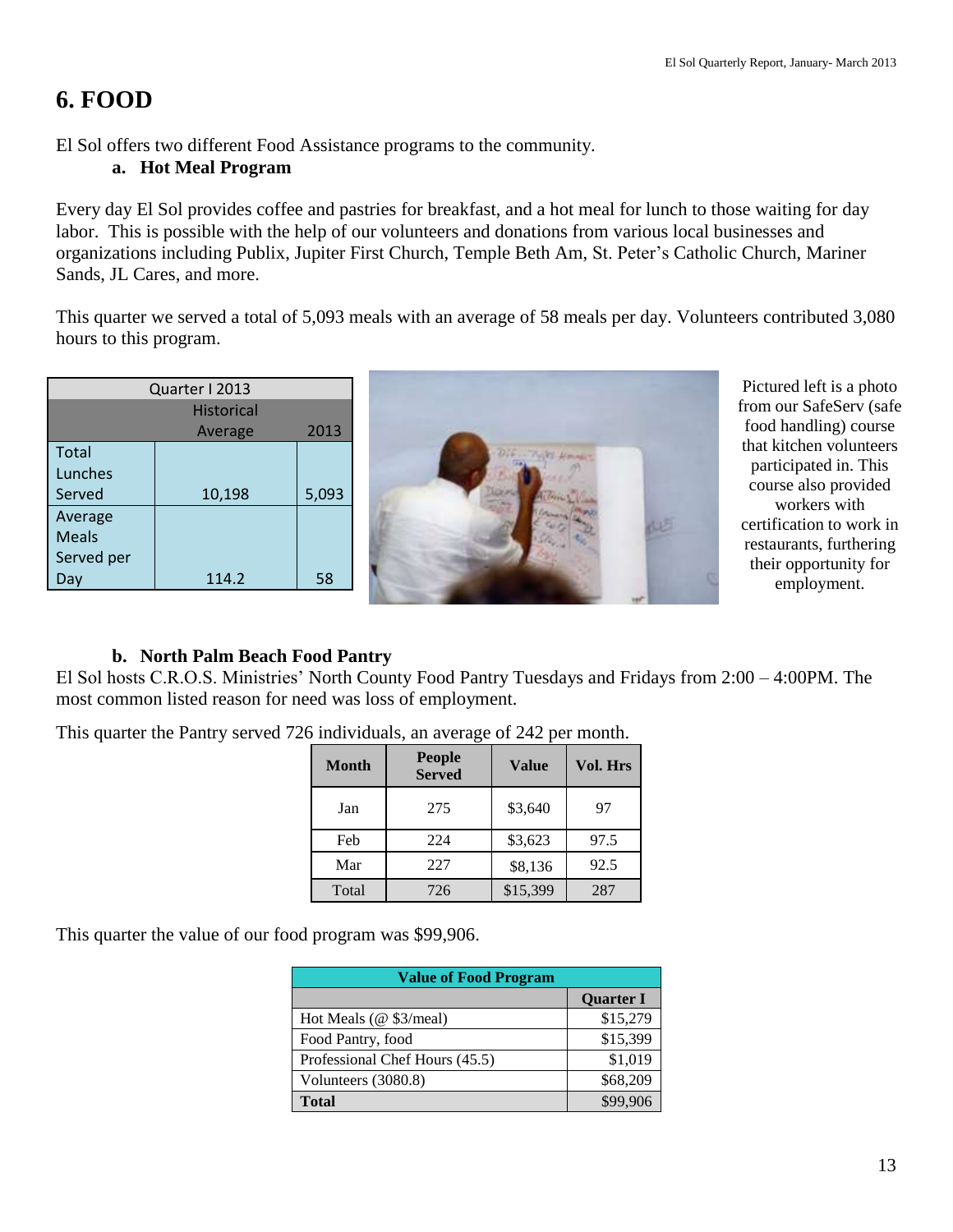## **6. FOOD**

El Sol offers two different Food Assistance programs to the community.

#### **a. Hot Meal Program**

Every day El Sol provides coffee and pastries for breakfast, and a hot meal for lunch to those waiting for day labor. This is possible with the help of our volunteers and donations from various local businesses and organizations including Publix, Jupiter First Church, Temple Beth Am, St. Peter's Catholic Church, Mariner Sands, JL Cares, and more.

This quarter we served a total of 5,093 meals with an average of 58 meals per day. Volunteers contributed 3,080 hours to this program.

| Quarter I 2013    |                 |       |  |  |  |
|-------------------|-----------------|-------|--|--|--|
| <b>Historical</b> |                 |       |  |  |  |
|                   | 2013<br>Average |       |  |  |  |
| <b>Total</b>      |                 |       |  |  |  |
| Lunches           |                 |       |  |  |  |
| Served            | 10,198          | 5,093 |  |  |  |
| Average           |                 |       |  |  |  |
| <b>Meals</b>      |                 |       |  |  |  |
| Served per        |                 |       |  |  |  |
| Ja                | 114.2           | 58    |  |  |  |



Pictured left is a photo from our SafeServ (safe food handling) course that kitchen volunteers participated in. This course also provided workers with certification to work in restaurants, furthering their opportunity for employment.

### **b. North Palm Beach Food Pantry**

El Sol hosts C.R.O.S. Ministries' North County Food Pantry Tuesdays and Fridays from 2:00 – 4:00PM. The most common listed reason for need was loss of employment.

> **Month People Served Value Vol. Hrs** Jan 1 275 | \$3,640 | 97 Feb 224 \$3,623 97.5 Mar 227 \$8,136 92.5 Total 726 \$15,399 287

This quarter the Pantry served 726 individuals, an average of 242 per month.

This quarter the value of our food program was \$99,906.

| <b>Value of Food Program</b>   |                  |  |  |  |
|--------------------------------|------------------|--|--|--|
|                                | <b>Quarter I</b> |  |  |  |
| Hot Meals (@ \$3/meal)         | \$15,279         |  |  |  |
| Food Pantry, food              | \$15,399         |  |  |  |
| Professional Chef Hours (45.5) | \$1,019          |  |  |  |
| Volunteers (3080.8)            | \$68,209         |  |  |  |
| <b>Total</b>                   | \$99,906         |  |  |  |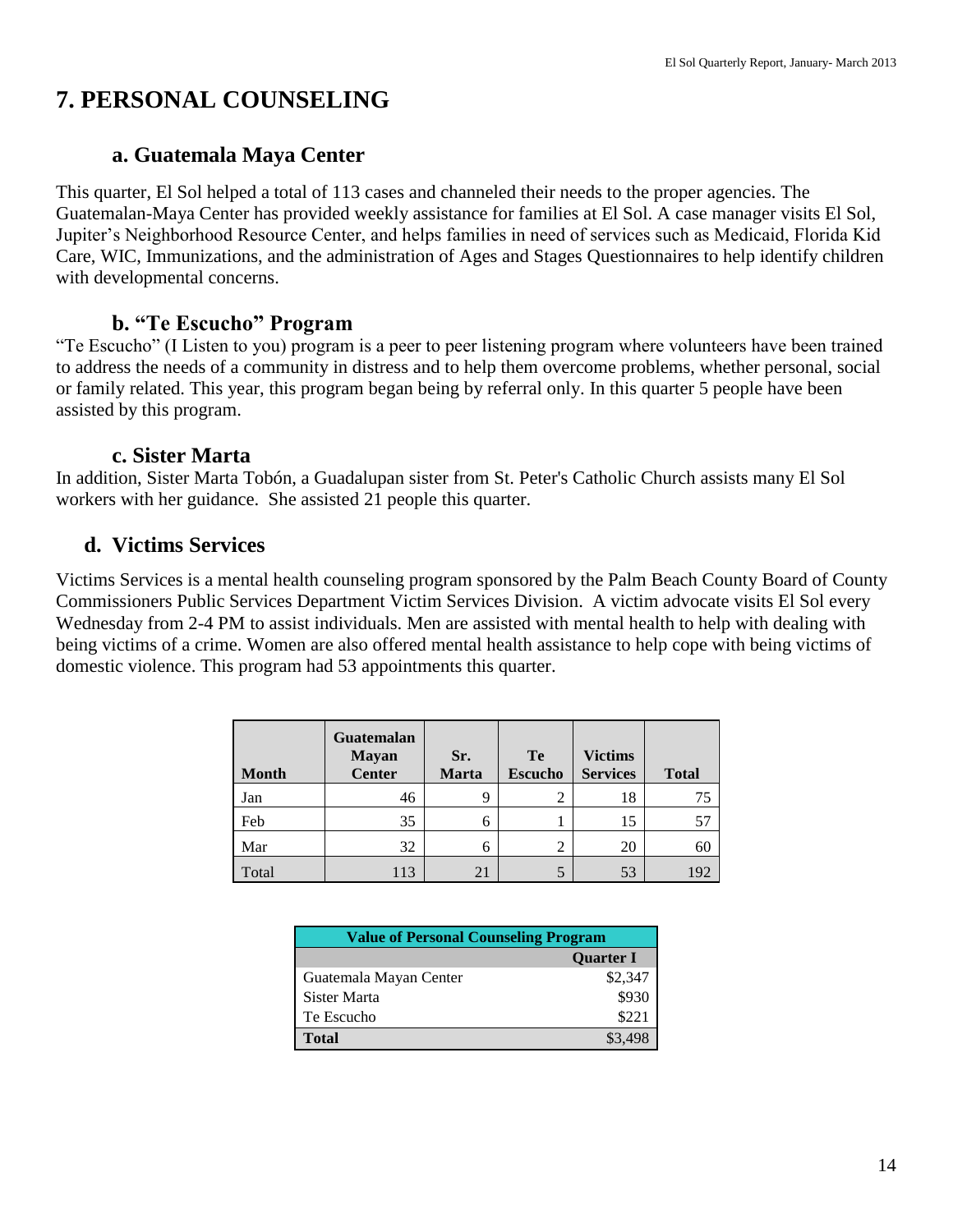## **7. PERSONAL COUNSELING**

### **a. Guatemala Maya Center**

This quarter, El Sol helped a total of 113 cases and channeled their needs to the proper agencies. The Guatemalan-Maya Center has provided weekly assistance for families at El Sol. A case manager visits El Sol, Jupiter's Neighborhood Resource Center, and helps families in need of services such as Medicaid, Florida Kid Care, WIC, Immunizations, and the administration of Ages and Stages Questionnaires to help identify children with developmental concerns.

### **b. "Te Escucho" Program**

"Te Escucho" (I Listen to you) program is a peer to peer listening program where volunteers have been trained to address the needs of a community in distress and to help them overcome problems, whether personal, social or family related. This year, this program began being by referral only. In this quarter 5 people have been assisted by this program.

### **c. Sister Marta**

In addition, Sister Marta Tobón, a Guadalupan sister from St. Peter's Catholic Church assists many El Sol workers with her guidance. She assisted 21 people this quarter.

## **d. Victims Services**

Victims Services is a mental health counseling program sponsored by the Palm Beach County Board of County Commissioners Public Services Department Victim Services Division. A victim advocate visits El Sol every Wednesday from 2-4 PM to assist individuals. Men are assisted with mental health to help with dealing with being victims of a crime. Women are also offered mental health assistance to help cope with being victims of domestic violence. This program had 53 appointments this quarter.

| <b>Month</b> | Guatemalan<br><b>Mayan</b><br><b>Center</b> | Sr.<br>Marta | Te<br><b>Escucho</b> | <b>Victims</b><br><b>Services</b> | <b>Total</b> |
|--------------|---------------------------------------------|--------------|----------------------|-----------------------------------|--------------|
| Jan          | 46                                          | 9            | 2                    | 18                                | 75           |
| Feb          | 35                                          | 6            |                      | 15                                | 57           |
| Mar          | 32                                          | 6            | 2                    | 20                                | 60           |
| Total        | 113                                         | 21           |                      | 53                                | 192          |

| <b>Value of Personal Counseling Program</b> |                  |  |
|---------------------------------------------|------------------|--|
|                                             | <b>Quarter I</b> |  |
| Guatemala Mayan Center                      | \$2,347          |  |
| Sister Marta                                | \$930            |  |
| Te Escucho                                  | \$221            |  |
| Total                                       |                  |  |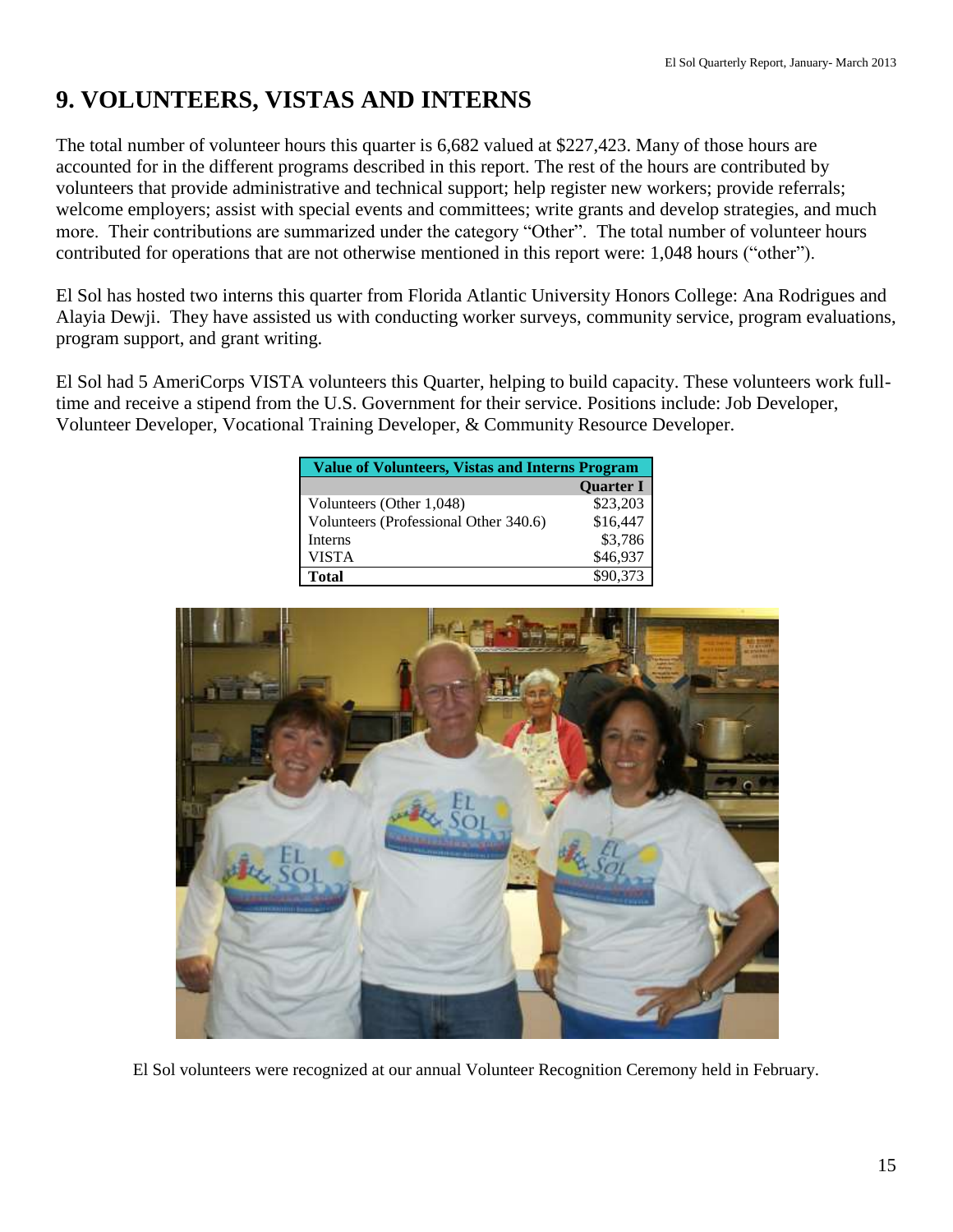## **9. VOLUNTEERS, VISTAS AND INTERNS**

The total number of volunteer hours this quarter is 6,682 valued at \$227,423. Many of those hours are accounted for in the different programs described in this report. The rest of the hours are contributed by volunteers that provide administrative and technical support; help register new workers; provide referrals; welcome employers; assist with special events and committees; write grants and develop strategies, and much more. Their contributions are summarized under the category "Other". The total number of volunteer hours contributed for operations that are not otherwise mentioned in this report were: 1,048 hours ("other").

El Sol has hosted two interns this quarter from Florida Atlantic University Honors College: Ana Rodrigues and Alayia Dewji. They have assisted us with conducting worker surveys, community service, program evaluations, program support, and grant writing.

El Sol had 5 AmeriCorps VISTA volunteers this Quarter, helping to build capacity. These volunteers work fulltime and receive a stipend from the U.S. Government for their service. Positions include: Job Developer, Volunteer Developer, Vocational Training Developer, & Community Resource Developer.

| Value of Volunteers, Vistas and Interns Program |                  |  |
|-------------------------------------------------|------------------|--|
|                                                 | <b>Ouarter I</b> |  |
| Volunteers (Other 1,048)                        | \$23,203         |  |
| Volunteers (Professional Other 340.6)           | \$16,447         |  |
| Interns                                         | \$3,786          |  |
| VISTA                                           | \$46,937         |  |
| <b>Total</b>                                    | \$90,373         |  |



El Sol volunteers were recognized at our annual Volunteer Recognition Ceremony held in February.